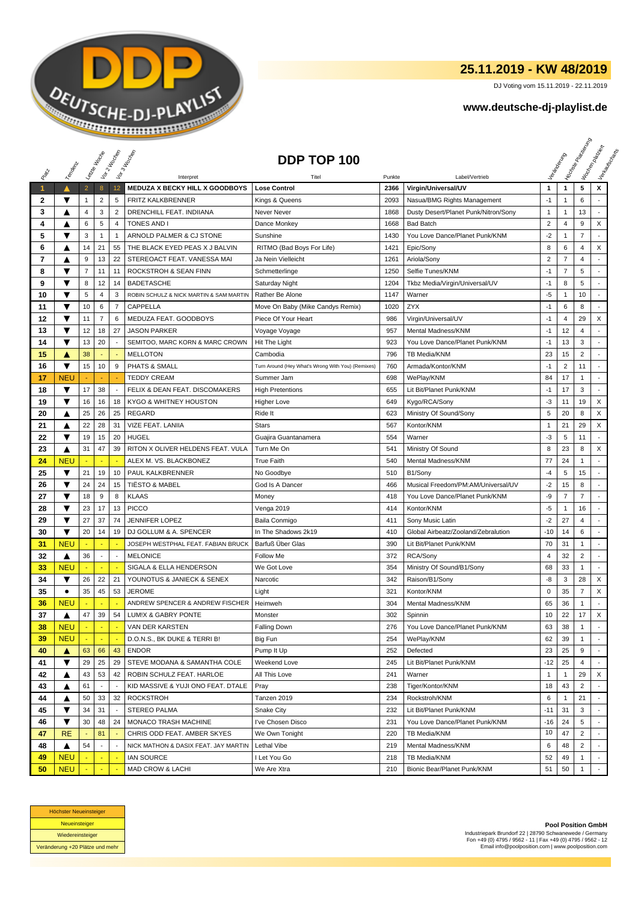

## **25.11.2019 - KW 48/2019**

DJ Voting vom 15.11.2019 - 22.11.2019

## **www.deutsche-dj-playlist.de**

|              |                      |                | Leizie Hacope            | Voir 2 Moone             | Vor 3 Incolas                           | DDP TOP 100                                       |        |                                      |                |                | <b>Licitorial Riversidens</b> | I Voolennesser<br>Verksunser<br>Maurecia |
|--------------|----------------------|----------------|--------------------------|--------------------------|-----------------------------------------|---------------------------------------------------|--------|--------------------------------------|----------------|----------------|-------------------------------|------------------------------------------|
|              | Temporal             |                |                          |                          |                                         |                                                   |        |                                      |                |                |                               |                                          |
| RIBLE        |                      |                |                          |                          | Interpret                               | Titel                                             | Punkte | Label/Vertrieb                       |                |                |                               |                                          |
| $\mathbf{1}$ |                      | $\overline{2}$ | 8                        | 12                       | MEDUZA X BECKY HILL X GOODBOYS          | <b>Lose Control</b>                               | 2366   | Virgin/Universal/UV                  | 1              | $\mathbf{1}$   | 5                             | x                                        |
| 2            | ▼                    | 1              | $\overline{2}$           | 5                        | FRITZ KALKBRENNER                       | Kings & Queens                                    | 2093   | Nasua/BMG Rights Management          | $-1$           | 1              | 6                             |                                          |
| 3            | ▲                    | 4              | 3                        | $\overline{2}$           | DRENCHILL FEAT. INDIIANA                | Never Never                                       | 1868   | Dusty Desert/Planet Punk/Nitron/Sony | $\mathbf{1}$   | 1              | 13                            |                                          |
| 4            | A                    | 6              | 5                        | $\overline{4}$           | <b>TONES AND I</b>                      | Dance Monkey                                      | 1668   | <b>Bad Batch</b>                     | $\overline{2}$ | $\overline{4}$ | 9                             | X                                        |
| 5            | ▼                    | 3              | $\mathbf{1}$             | $\overline{1}$           | ARNOLD PALMER & CJ STONE                | Sunshine                                          | 1430   | You Love Dance/Planet Punk/KNM       | $-2$           | -1             | $\overline{7}$                |                                          |
| 6            | ▲                    | 14             | 21                       | 55                       | THE BLACK EYED PEAS X J BALVIN          | RITMO (Bad Boys For Life)                         | 1421   | Epic/Sony                            | 8              | 6              | 4                             | X                                        |
| 7            | ▲                    | 9              | 13                       | 22                       | STEREOACT FEAT. VANESSA MAI             | Ja Nein Vielleicht                                | 1261   | Ariola/Sony                          | $\overline{2}$ | $\overline{7}$ | 4                             |                                          |
| 8            | ▼                    | 7              | 11                       | 11                       | ROCKSTROH & SEAN FINN                   | Schmetterlinge                                    | 1250   | Selfie Tunes/KNM                     | $-1$           | $\overline{7}$ | 5                             | $\overline{a}$                           |
| 9            | ▼                    | 8              | 12                       | 14                       | <b>BADETASCHE</b>                       | Saturday Night                                    | 1204   | Tkbz Media/Virgin/Universal/UV       | $-1$           | 8              | 5                             |                                          |
| 10           | ▼                    | 5              | $\overline{\mathbf{4}}$  | 3                        | ROBIN SCHULZ & NICK MARTIN & SAM MARTIN | Rather Be Alone                                   | 1147   | Warner                               | -5             | -1             | 10                            |                                          |
| 11           | ▼                    | 10             | 6                        | $\overline{7}$           | CAPPELLA                                | Move On Baby (Mike Candys Remix)                  | 1020   | <b>ZYX</b>                           | $-1$           | 6              | 8                             |                                          |
| 12           | ▼                    | 11             | $\overline{7}$           | 6                        | MEDUZA FEAT. GOODBOYS                   | Piece Of Your Heart                               | 986    | Virgin/Universal/UV                  | $-1$           | 4              | 29                            | X                                        |
| 13           | ▼                    | 12             | 18                       | 27                       | <b>JASON PARKER</b>                     | Voyage Voyage                                     | 957    | Mental Madness/KNM                   | $-1$           | 12             | 4                             |                                          |
| 14           | $\blacktriangledown$ | 13             | 20                       |                          | SEMITOO, MARC KORN & MARC CROWN         | Hit The Light                                     | 923    | You Love Dance/Planet Punk/KNM       | $-1$           | 13             | 3                             | $\overline{a}$                           |
| 15           | A                    | 38             |                          |                          | <b>MELLOTON</b>                         | Cambodia                                          | 796    | TB Media/KNM                         | 23             | 15             | $\overline{c}$                | $\overline{a}$                           |
| 16           | ▼                    | 15             | 10                       | 9                        | <b>PHATS &amp; SMALL</b>                | Turn Around (Hey What's Wrong With You) (Remixes) | 760    | Armada/Kontor/KNM                    | -1             | $\overline{2}$ | 11                            |                                          |
| 17           | <b>NEU</b>           |                |                          |                          | <b>TEDDY CREAM</b>                      | Summer Jam                                        | 698    | WePlay/KNM                           | 84             | 17             | $\mathbf{1}$                  |                                          |
| 18           | ▼                    | 17             | 38                       | $\overline{a}$           | FELIX & DEAN FEAT. DISCOMAKERS          | <b>High Pretentions</b>                           | 655    | Lit Bit/Planet Punk/KNM              | $-1$           | 17             | 3                             |                                          |
| 19           | ▼                    | 16             | 16                       | 18                       | KYGO & WHITNEY HOUSTON                  | <b>Higher Love</b>                                | 649    | Kygo/RCA/Sony                        | $-3$           | 11             | 19                            | X                                        |
| 20           | ▲                    | 25             | 26                       | 25                       | <b>REGARD</b>                           | Ride It                                           | 623    | Ministry Of Sound/Sony               | 5              | 20             | 8                             | X                                        |
| 21           | ▲                    | 22             | 28                       | 31                       | <b>VIZE FEAT. LANIIA</b>                | <b>Stars</b>                                      | 567    | Kontor/KNM                           | $\overline{1}$ | 21             | 29                            | X                                        |
| 22           | ▼                    | 19             | 15                       | 20                       | <b>HUGEL</b>                            | Guajira Guantanamera                              | 554    | Warner                               | $-3$           | 5              | 11                            |                                          |
| 23           | ▲                    | 31             | 47                       | 39                       | RITON X OLIVER HELDENS FEAT. VULA       | Turn Me On                                        | 541    | Ministry Of Sound                    | 8              | 23             | 8                             | X                                        |
| 24           | <b>NEU</b>           |                |                          | ۰.                       | ALEX M. VS. BLACKBONEZ                  | <b>True Faith</b>                                 | 540    | Mental Madness/KNM                   | 77             | 24             | 1                             |                                          |
| 25           | ▼                    | 21             | 19                       | 10                       | PAUL KALKBRENNER                        | No Goodbye                                        | 510    | B1/Sony                              | $-4$           | 5              | 15                            |                                          |
| 26           | ▼                    | 24             | 24                       | 15                       | <b>TIËSTO &amp; MABEL</b>               | God Is A Dancer                                   | 466    | Musical Freedom/PM:AM/Universal/UV   | $-2$           | 15             | 8                             |                                          |
| 27           | ▼                    | 18             | 9                        | 8                        | <b>KLAAS</b>                            | Money                                             | 418    | You Love Dance/Planet Punk/KNM       | -9             | $\overline{7}$ | $\overline{7}$                | $\overline{a}$                           |
| 28           | ▼                    | 23             | 17                       | 13                       | <b>PICCO</b>                            | Venga 2019                                        | 414    | Kontor/KNM                           | -5             | 1              | 16                            |                                          |
| 29           | ▼                    | 27             | 37                       | 74                       | <b>JENNIFER LOPEZ</b>                   | Baila Conmigo                                     | 411    | Sony Music Latin                     | $-2$           | 27             | 4                             |                                          |
| 30           | ▼                    | 20             | 14                       | 19                       | DJ GOLLUM & A. SPENCER                  | In The Shadows 2k19                               | 410    | Global Airbeatz/Zooland/Zebralution  | -10            | 14             | 6                             | $\overline{a}$                           |
| 31           | <b>NEU</b>           |                | ÷                        | ÷                        | JOSEPH WESTPHAL FEAT. FABIAN BRUCK      | Barfuß Über Glas                                  | 390    | Lit Bit/Planet Punk/KNM              | 70             | 31             | $\mathbf{1}$                  | $\overline{a}$                           |
| 32           | ▲                    | 36             | $\blacksquare$           | $\overline{\phantom{a}}$ | <b>MELONICE</b>                         | Follow Me                                         | 372    | RCA/Sony                             | 4              | 32             | $\overline{2}$                | $\overline{\phantom{a}}$                 |
| 33           | <b>NEU</b>           |                |                          |                          | SIGALA & ELLA HENDERSON                 | We Got Love                                       | 354    | Ministry Of Sound/B1/Sony            | 68             | 33             | $\mathbf{1}$                  | $\overline{\phantom{a}}$                 |
| 34           | ▼                    | 26             | 22                       | 21                       | YOUNOTUS & JANIECK & SENEX              | Narcotic                                          | 342    | Raison/B1/Sony                       | -8             | 3              | 28                            | X                                        |
| 35           | ٠                    | 35             | 45                       | 53                       | <b>JEROME</b>                           | Light                                             | 321    | Kontor/KNM                           | 0              | 35             | $\overline{7}$                | X                                        |
| 36           | <b>NEU</b>           |                |                          |                          | ANDREW SPENCER & ANDREW FISCHER         | Heimweh                                           | 304    | Mental Madness/KNM                   | 65             | 36             | $\mathbf{1}$                  | $\overline{a}$                           |
| 37           | ▲                    | 47             | 39                       | 54                       | <b>LUMIX &amp; GABRY PONTE</b>          | Monster                                           | 302    | Spinnin                              | 10             | 22             | 17                            | X                                        |
| 38           | <b>NEU</b>           |                |                          |                          | VAN DER KARSTEN                         | <b>Falling Down</b>                               | 276    | You Love Dance/Planet Punk/KNM       | 63             | 38             | 1                             |                                          |
| 39           | <b>NEU</b>           |                | $\omega$                 | ۰.                       | D.O.N.S., BK DUKE & TERRI B!            | Big Fun                                           | 254    | WePlay/KNM                           | 62             | 39             | $\mathbf{1}$                  |                                          |
| 40           | ▲                    | 63             | 66                       | 43                       | <b>ENDOR</b>                            | Pump It Up                                        | 252    | Defected                             | 23             | 25             | 9                             |                                          |
| 41           | ▼                    | 29             | 25                       | 29                       | STEVE MODANA & SAMANTHA COLE            | Weekend Love                                      | 245    | Lit Bit/Planet Punk/KNM              | $-12$          | 25             | 4                             |                                          |
| 42           | ▲                    | 43             | 53                       | 42                       | ROBIN SCHULZ FEAT. HARLOE               | All This Love                                     | 241    | Warner                               | $\mathbf{1}$   | 1              | 29                            | X                                        |
| 43           | ▲                    | 61             |                          |                          | KID MASSIVE & YUJI ONO FEAT. DTALE      | Pray                                              | 238    | Tiger/Kontor/KNM                     | 18             | 43             | 2                             |                                          |
| 44           | ▲                    | 50             | 33                       | 32                       | <b>ROCKSTROH</b>                        | Tanzen 2019                                       | 234    | Rockstroh/KNM                        | 6              | 1              | 21                            |                                          |
| 45           | ▼                    | 34             | 31                       |                          | <b>STEREO PALMA</b>                     | Snake City                                        | 232    | Lit Bit/Planet Punk/KNM              | $-11$          | 31             | 3                             |                                          |
| 46           | ▼                    | 30             | 48                       | 24                       | MONACO TRASH MACHINE                    | I've Chosen Disco                                 | 231    | You Love Dance/Planet Punk/KNM       | $-16$          | 24             | 5                             | $\blacksquare$                           |
| 47           | <b>RE</b>            |                | 81                       |                          | CHRIS ODD FEAT. AMBER SKYES             | We Own Tonight                                    | 220    | TB Media/KNM                         | 10             | 47             | $\overline{2}$                |                                          |
| 48           | ▲                    | 54             | $\overline{\phantom{a}}$ | $\overline{\phantom{a}}$ | NICK MATHON & DASIX FEAT. JAY MARTIN    | Lethal Vibe                                       | 219    | Mental Madness/KNM                   | 6              | 48             | 2                             |                                          |
| 49           | <b>NEU</b>           |                |                          |                          | <b>IAN SOURCE</b>                       | I Let You Go                                      | 218    | TB Media/KNM                         | 52             | 49             | $\mathbf{1}$                  |                                          |
| 50           | <b>NEU</b>           |                |                          |                          | MAD CROW & LACHI                        | We Are Xtra                                       | 210    | Bionic Bear/Planet Punk/KNM          | 51             | 50             | $\mathbf{1}$                  |                                          |



**Pool Position GmbH** Industriepark Brundorf 22 | 28790 Schwanewede / Germany Fon +49 (0) 4795 / 9562 - 11 | Fax +49 (0) 4795 / 9562 - 12 Email info@poolposition.com | www.poolposition.com